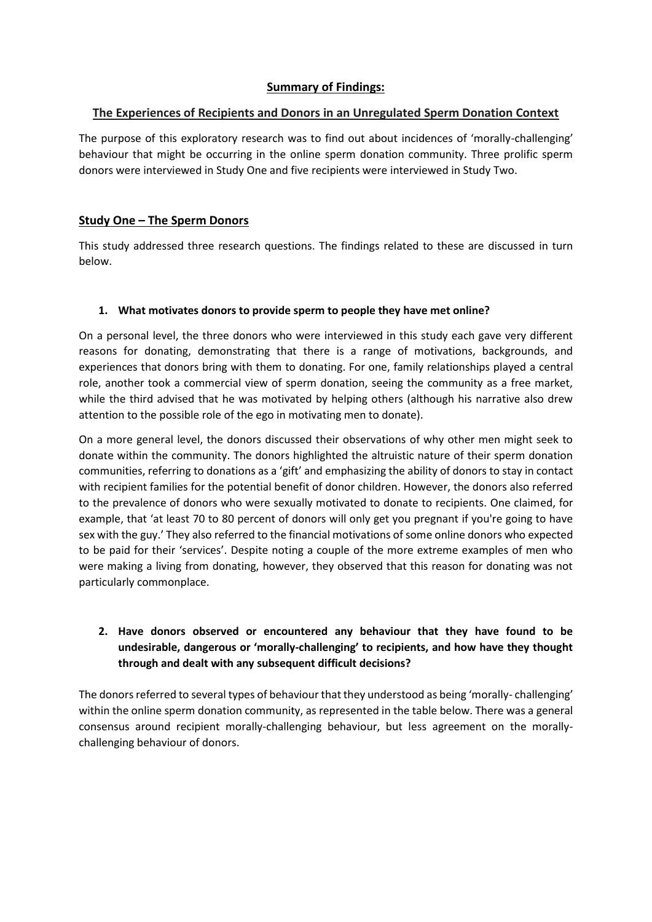## **Summary of Findings:**

## **The Experiences of Recipients and Donors in an Unregulated Sperm Donation Context**

The purpose of this exploratory research was to find out about incidences of 'morally-challenging' behaviour that might be occurring in the online sperm donation community. Three prolific sperm donors were interviewed in Study One and five recipients were interviewed in Study Two.

## **Study One – The Sperm Donors**

This study addressed three research questions. The findings related to these are discussed in turn below.

## **1. What motivates donors to provide sperm to people they have met online?**

On a personal level, the three donors who were interviewed in this study each gave very different reasons for donating, demonstrating that there is a range of motivations, backgrounds, and experiences that donors bring with them to donating. For one, family relationships played a central role, another took a commercial view of sperm donation, seeing the community as a free market, while the third advised that he was motivated by helping others (although his narrative also drew attention to the possible role of the ego in motivating men to donate).

On a more general level, the donors discussed their observations of why other men might seek to donate within the community. The donors highlighted the altruistic nature of their sperm donation communities, referring to donations as a 'gift' and emphasizing the ability of donors to stay in contact with recipient families for the potential benefit of donor children. However, the donors also referred to the prevalence of donors who were sexually motivated to donate to recipients. One claimed, for example, that 'at least 70 to 80 percent of donors will only get you pregnant if you're going to have sex with the guy.' They also referred to the financial motivations of some online donors who expected to be paid for their 'services'. Despite noting a couple of the more extreme examples of men who were making a living from donating, however, they observed that this reason for donating was not particularly commonplace.

# **2. Have donors observed or encountered any behaviour that they have found to be undesirable, dangerous or 'morally-challenging' to recipients, and how have they thought through and dealt with any subsequent difficult decisions?**

The donors referred to several types of behaviour that they understood as being 'morally- challenging' within the online sperm donation community, as represented in the table below. There was a general consensus around recipient morally-challenging behaviour, but less agreement on the morallychallenging behaviour of donors.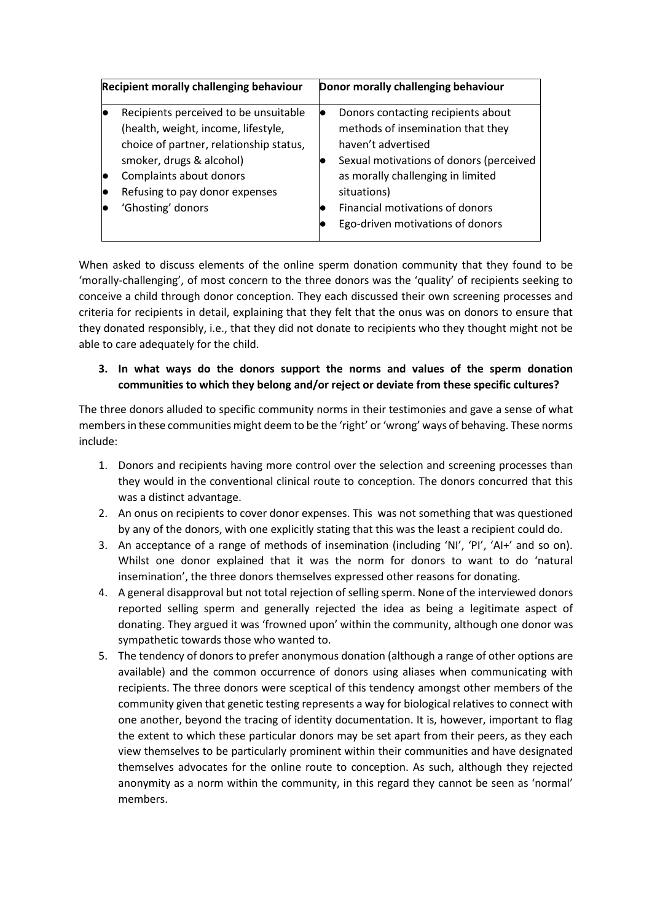| <b>Recipient morally challenging behaviour</b> |                                                                                                                                                                                                                                       | Donor morally challenging behaviour |                                                                                                                                                                                                                                                                     |
|------------------------------------------------|---------------------------------------------------------------------------------------------------------------------------------------------------------------------------------------------------------------------------------------|-------------------------------------|---------------------------------------------------------------------------------------------------------------------------------------------------------------------------------------------------------------------------------------------------------------------|
|                                                | Recipients perceived to be unsuitable<br>(health, weight, income, lifestyle,<br>choice of partner, relationship status,<br>smoker, drugs & alcohol)<br>Complaints about donors<br>Refusing to pay donor expenses<br>'Ghosting' donors | Ð                                   | Donors contacting recipients about<br>methods of insemination that they<br>haven't advertised<br>Sexual motivations of donors (perceived<br>as morally challenging in limited<br>situations)<br>Financial motivations of donors<br>Ego-driven motivations of donors |

When asked to discuss elements of the online sperm donation community that they found to be 'morally-challenging', of most concern to the three donors was the 'quality' of recipients seeking to conceive a child through donor conception. They each discussed their own screening processes and criteria for recipients in detail, explaining that they felt that the onus was on donors to ensure that they donated responsibly, i.e., that they did not donate to recipients who they thought might not be able to care adequately for the child.

## **3. In what ways do the donors support the norms and values of the sperm donation communities to which they belong and/or reject or deviate from these specific cultures?**

The three donors alluded to specific community norms in their testimonies and gave a sense of what members in these communities might deem to be the 'right' or 'wrong' ways of behaving. These norms include:

- 1. Donors and recipients having more control over the selection and screening processes than they would in the conventional clinical route to conception. The donors concurred that this was a distinct advantage.
- 2. An onus on recipients to cover donor expenses. This was not something that was questioned by any of the donors, with one explicitly stating that this was the least a recipient could do.
- 3. An acceptance of a range of methods of insemination (including 'NI', 'PI', 'AI+' and so on). Whilst one donor explained that it was the norm for donors to want to do 'natural insemination', the three donors themselves expressed other reasons for donating.
- 4. A general disapproval but not total rejection of selling sperm. None of the interviewed donors reported selling sperm and generally rejected the idea as being a legitimate aspect of donating. They argued it was 'frowned upon' within the community, although one donor was sympathetic towards those who wanted to.
- 5. The tendency of donors to prefer anonymous donation (although a range of other options are available) and the common occurrence of donors using aliases when communicating with recipients. The three donors were sceptical of this tendency amongst other members of the community given that genetic testing represents a way for biological relatives to connect with one another, beyond the tracing of identity documentation. It is, however, important to flag the extent to which these particular donors may be set apart from their peers, as they each view themselves to be particularly prominent within their communities and have designated themselves advocates for the online route to conception. As such, although they rejected anonymity as a norm within the community, in this regard they cannot be seen as 'normal' members.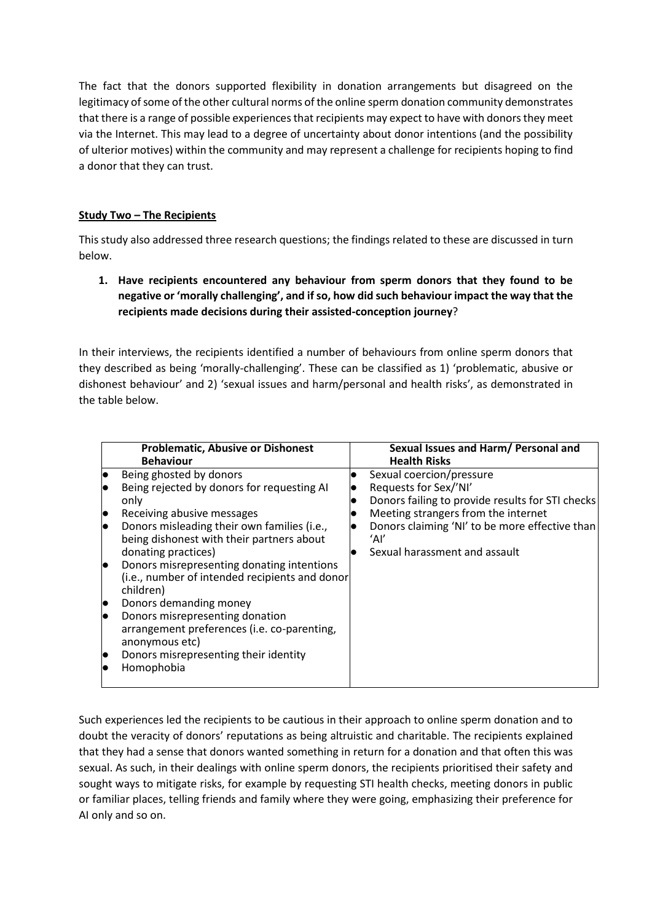The fact that the donors supported flexibility in donation arrangements but disagreed on the legitimacy of some of the other cultural norms of the online sperm donation community demonstrates that there is a range of possible experiences that recipients may expect to have with donors they meet via the Internet. This may lead to a degree of uncertainty about donor intentions (and the possibility of ulterior motives) within the community and may represent a challenge for recipients hoping to find a donor that they can trust.

#### **Study Two – The Recipients**

This study also addressed three research questions; the findings related to these are discussed in turn below.

**1. Have recipients encountered any behaviour from sperm donors that they found to be negative or 'morally challenging', and if so, how did such behaviour impact the way that the recipients made decisions during their assisted-conception journey**?

In their interviews, the recipients identified a number of behaviours from online sperm donors that they described as being 'morally-challenging'. These can be classified as 1) 'problematic, abusive or dishonest behaviour' and 2) 'sexual issues and harm/personal and health risks', as demonstrated in the table below.

| <b>Problematic, Abusive or Dishonest</b><br><b>Behaviour</b> | Sexual Issues and Harm/ Personal and<br><b>Health Risks</b> |
|--------------------------------------------------------------|-------------------------------------------------------------|
| Being ghosted by donors                                      | Sexual coercion/pressure                                    |
| Being rejected by donors for requesting AI                   | Requests for Sex/'NI'                                       |
| only                                                         | Donors failing to provide results for STI checks            |
| Receiving abusive messages                                   | Meeting strangers from the internet                         |
| Donors misleading their own families (i.e.,                  | Donors claiming 'NI' to be more effective than              |
| being dishonest with their partners about                    | ʻAľ                                                         |
| donating practices)                                          | Sexual harassment and assault                               |
| Donors misrepresenting donating intentions                   |                                                             |
| (i.e., number of intended recipients and donor               |                                                             |
| children)                                                    |                                                             |
| Donors demanding money                                       |                                                             |
| Donors misrepresenting donation                              |                                                             |
| arrangement preferences (i.e. co-parenting,                  |                                                             |
| anonymous etc)                                               |                                                             |
| Donors misrepresenting their identity                        |                                                             |
| Homophobia                                                   |                                                             |
|                                                              |                                                             |

Such experiences led the recipients to be cautious in their approach to online sperm donation and to doubt the veracity of donors' reputations as being altruistic and charitable. The recipients explained that they had a sense that donors wanted something in return for a donation and that often this was sexual. As such, in their dealings with online sperm donors, the recipients prioritised their safety and sought ways to mitigate risks, for example by requesting STI health checks, meeting donors in public or familiar places, telling friends and family where they were going, emphasizing their preference for AI only and so on.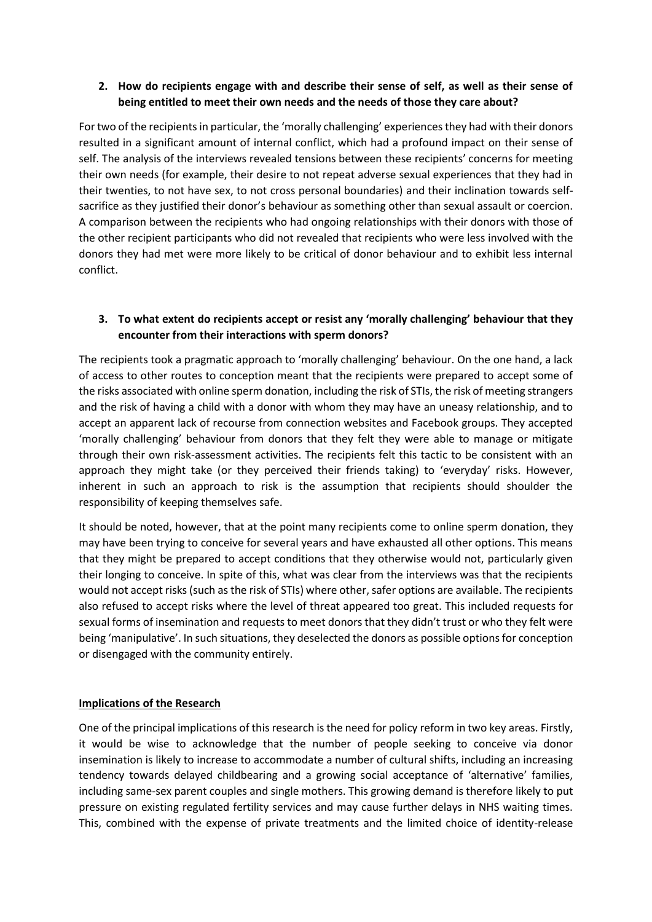### **2. How do recipients engage with and describe their sense of self, as well as their sense of being entitled to meet their own needs and the needs of those they care about?**

For two of the recipients in particular, the 'morally challenging' experiences they had with their donors resulted in a significant amount of internal conflict, which had a profound impact on their sense of self. The analysis of the interviews revealed tensions between these recipients' concerns for meeting their own needs (for example, their desire to not repeat adverse sexual experiences that they had in their twenties, to not have sex, to not cross personal boundaries) and their inclination towards selfsacrifice as they justified their donor's behaviour as something other than sexual assault or coercion. A comparison between the recipients who had ongoing relationships with their donors with those of the other recipient participants who did not revealed that recipients who were less involved with the donors they had met were more likely to be critical of donor behaviour and to exhibit less internal conflict.

## **3. To what extent do recipients accept or resist any 'morally challenging' behaviour that they encounter from their interactions with sperm donors?**

The recipients took a pragmatic approach to 'morally challenging' behaviour. On the one hand, a lack of access to other routes to conception meant that the recipients were prepared to accept some of the risks associated with online sperm donation, including the risk of STIs, the risk of meeting strangers and the risk of having a child with a donor with whom they may have an uneasy relationship, and to accept an apparent lack of recourse from connection websites and Facebook groups. They accepted 'morally challenging' behaviour from donors that they felt they were able to manage or mitigate through their own risk-assessment activities. The recipients felt this tactic to be consistent with an approach they might take (or they perceived their friends taking) to 'everyday' risks. However, inherent in such an approach to risk is the assumption that recipients should shoulder the responsibility of keeping themselves safe.

It should be noted, however, that at the point many recipients come to online sperm donation, they may have been trying to conceive for several years and have exhausted all other options. This means that they might be prepared to accept conditions that they otherwise would not, particularly given their longing to conceive. In spite of this, what was clear from the interviews was that the recipients would not accept risks (such as the risk of STIs) where other, safer options are available. The recipients also refused to accept risks where the level of threat appeared too great. This included requests for sexual forms of insemination and requests to meet donors that they didn't trust or who they felt were being 'manipulative'. In such situations, they deselected the donors as possible options for conception or disengaged with the community entirely.

#### **Implications of the Research**

One of the principal implications of this research is the need for policy reform in two key areas. Firstly, it would be wise to acknowledge that the number of people seeking to conceive via donor insemination is likely to increase to accommodate a number of cultural shifts, including an increasing tendency towards delayed childbearing and a growing social acceptance of 'alternative' families, including same-sex parent couples and single mothers. This growing demand is therefore likely to put pressure on existing regulated fertility services and may cause further delays in NHS waiting times. This, combined with the expense of private treatments and the limited choice of identity-release